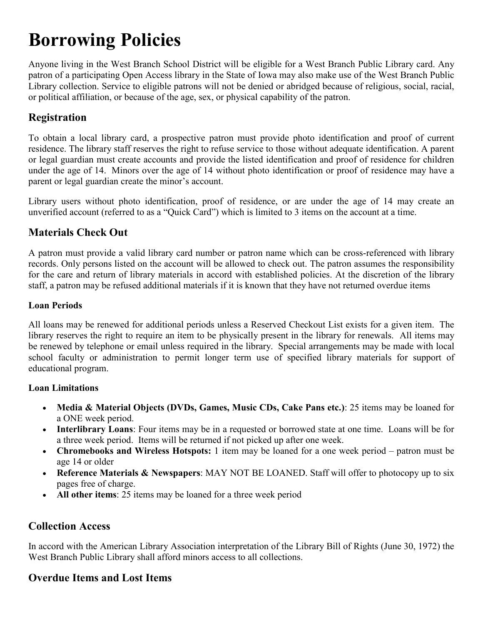# **Borrowing Policies**

Anyone living in the West Branch School District will be eligible for a West Branch Public Library card. Any patron of a participating Open Access library in the State of Iowa may also make use of the West Branch Public Library collection. Service to eligible patrons will not be denied or abridged because of religious, social, racial, or political affiliation, or because of the age, sex, or physical capability of the patron.

## **Registration**

To obtain a local library card, a prospective patron must provide photo identification and proof of current residence. The library staff reserves the right to refuse service to those without adequate identification. A parent or legal guardian must create accounts and provide the listed identification and proof of residence for children under the age of 14. Minors over the age of 14 without photo identification or proof of residence may have a parent or legal guardian create the minor's account.

Library users without photo identification, proof of residence, or are under the age of 14 may create an unverified account (referred to as a "Quick Card") which is limited to 3 items on the account at a time.

## **Materials Check Out**

A patron must provide a valid library card number or patron name which can be cross-referenced with library records. Only persons listed on the account will be allowed to check out. The patron assumes the responsibility for the care and return of library materials in accord with established policies. At the discretion of the library staff, a patron may be refused additional materials if it is known that they have not returned overdue items

#### **Loan Periods**

All loans may be renewed for additional periods unless a Reserved Checkout List exists for a given item. The library reserves the right to require an item to be physically present in the library for renewals. All items may be renewed by telephone or email unless required in the library. Special arrangements may be made with local school faculty or administration to permit longer term use of specified library materials for support of educational program.

#### **Loan Limitations**

- **Media & Material Objects (DVDs, Games, Music CDs, Cake Pans etc.)**: 25 items may be loaned for a ONE week period.
- **Interlibrary Loans**: Four items may be in a requested or borrowed state at one time. Loans will be for a three week period. Items will be returned if not picked up after one week.
- **Chromebooks and Wireless Hotspots:** 1 item may be loaned for a one week period patron must be age 14 or older
- **Reference Materials & Newspapers**: MAY NOT BE LOANED. Staff will offer to photocopy up to six pages free of charge.
- **All other items**: 25 items may be loaned for a three week period

### **Collection Access**

In accord with the American Library Association interpretation of the Library Bill of Rights (June 30, 1972) the West Branch Public Library shall afford minors access to all collections.

## **Overdue Items and Lost Items**